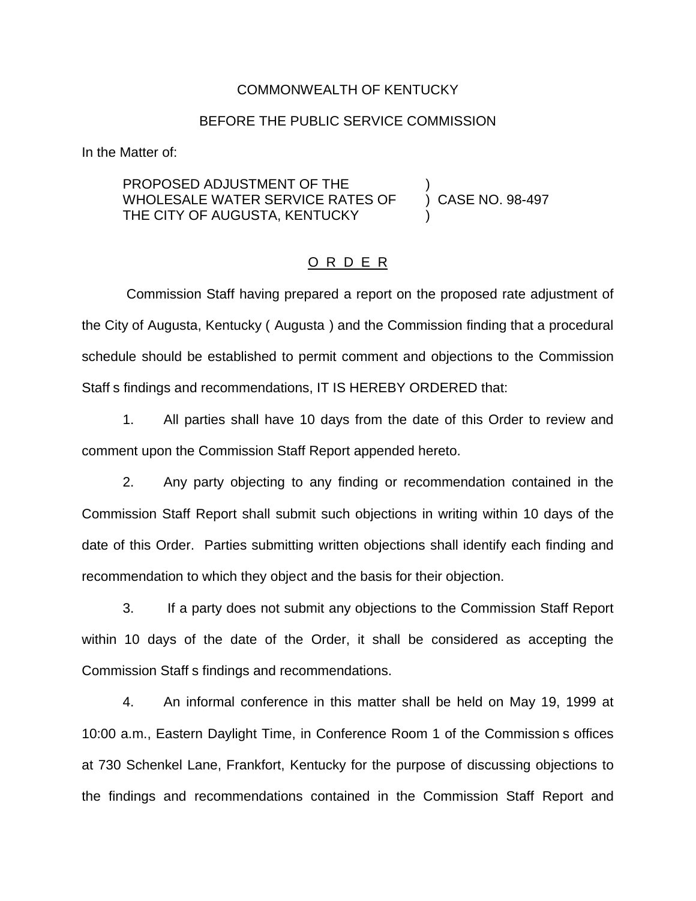### COMMONWEALTH OF KENTUCKY

### BEFORE THE PUBLIC SERVICE COMMISSION

In the Matter of:

PROPOSED ADJUSTMENT OF THE WHOLESALE WATER SERVICE RATES OF ) CASE NO. 98-497 THE CITY OF AUGUSTA, KENTUCKY

### O R D E R

Commission Staff having prepared a report on the proposed rate adjustment of the City of Augusta, Kentucky ( Augusta ) and the Commission finding that a procedural schedule should be established to permit comment and objections to the Commission Staff s findings and recommendations, IT IS HEREBY ORDERED that:

1. All parties shall have 10 days from the date of this Order to review and comment upon the Commission Staff Report appended hereto.

2. Any party objecting to any finding or recommendation contained in the Commission Staff Report shall submit such objections in writing within 10 days of the date of this Order. Parties submitting written objections shall identify each finding and recommendation to which they object and the basis for their objection.

3. If a party does not submit any objections to the Commission Staff Report within 10 days of the date of the Order, it shall be considered as accepting the Commission Staff s findings and recommendations.

4. An informal conference in this matter shall be held on May 19, 1999 at 10:00 a.m., Eastern Daylight Time, in Conference Room 1 of the Commission s offices at 730 Schenkel Lane, Frankfort, Kentucky for the purpose of discussing objections to the findings and recommendations contained in the Commission Staff Report and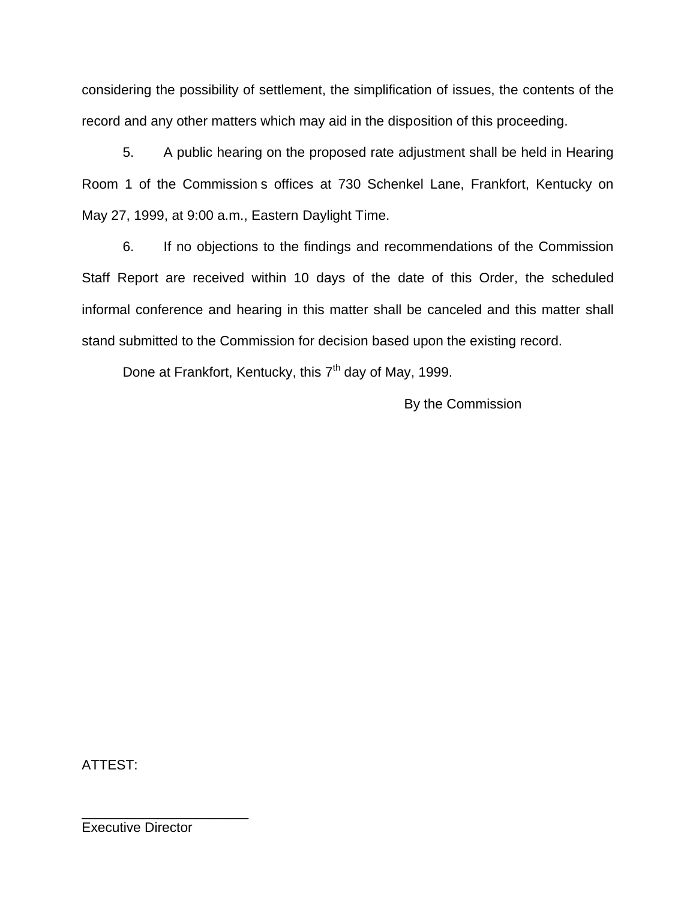considering the possibility of settlement, the simplification of issues, the contents of the record and any other matters which may aid in the disposition of this proceeding.

5. A public hearing on the proposed rate adjustment shall be held in Hearing Room 1 of the Commission s offices at 730 Schenkel Lane, Frankfort, Kentucky on May 27, 1999, at 9:00 a.m., Eastern Daylight Time.

6. If no objections to the findings and recommendations of the Commission Staff Report are received within 10 days of the date of this Order, the scheduled informal conference and hearing in this matter shall be canceled and this matter shall stand submitted to the Commission for decision based upon the existing record.

Done at Frankfort, Kentucky, this  $7<sup>th</sup>$  day of May, 1999.

By the Commission

ATTEST:

Executive Director

\_\_\_\_\_\_\_\_\_\_\_\_\_\_\_\_\_\_\_\_\_\_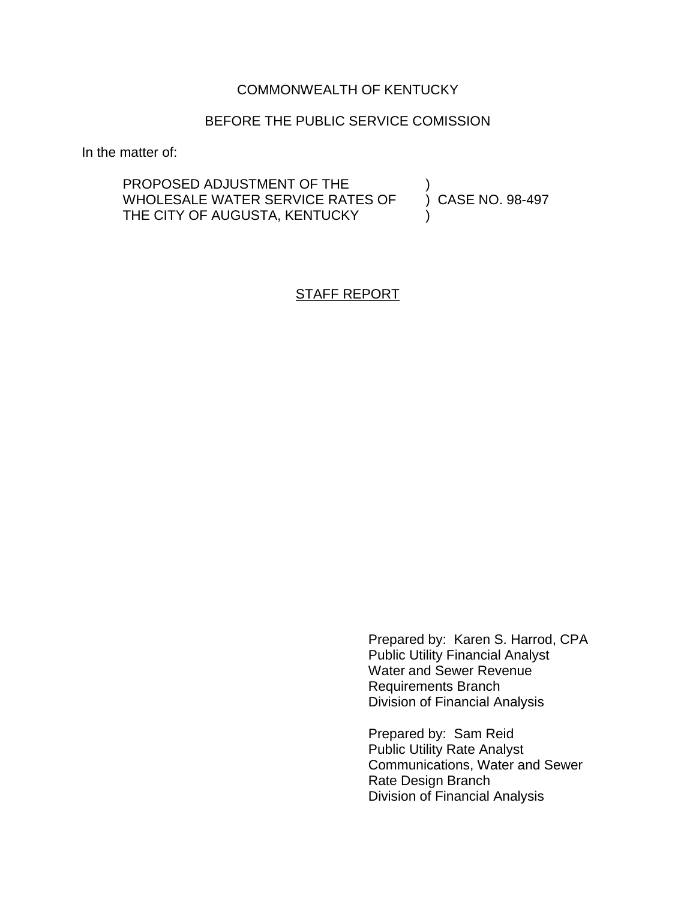## COMMONWEALTH OF KENTUCKY

### BEFORE THE PUBLIC SERVICE COMISSION

In the matter of:

PROPOSED ADJUSTMENT OF THE  $V(1)$  (DASE NO. 98-497 WHOLESALE WATER SERVICE RATES OF THE CITY OF AUGUSTA, KENTUCKY

STAFF REPORT

Prepared by: Karen S. Harrod, CPA Public Utility Financial Analyst Water and Sewer Revenue Requirements Branch Division of Financial Analysis

Prepared by: Sam Reid Public Utility Rate Analyst Communications, Water and Sewer Rate Design Branch Division of Financial Analysis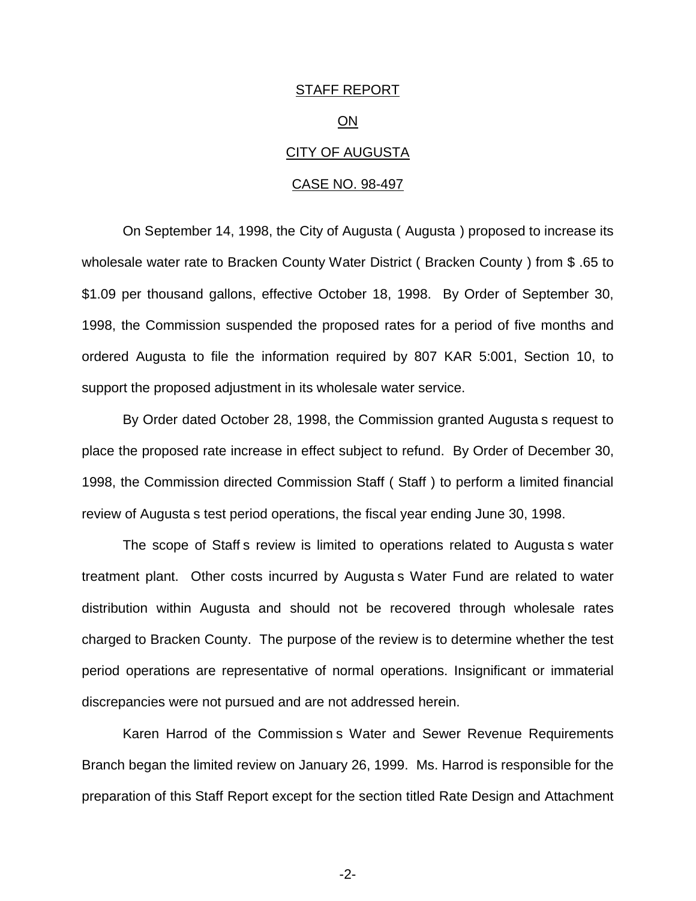# STAFF REPORT ON CITY OF AUGUSTA CASE NO. 98-497

On September 14, 1998, the City of Augusta ( Augusta ) proposed to increase its wholesale water rate to Bracken County Water District ( Bracken County ) from \$ .65 to \$1.09 per thousand gallons, effective October 18, 1998. By Order of September 30, 1998, the Commission suspended the proposed rates for a period of five months and ordered Augusta to file the information required by 807 KAR 5:001, Section 10, to support the proposed adjustment in its wholesale water service.

By Order dated October 28, 1998, the Commission granted Augusta s request to place the proposed rate increase in effect subject to refund. By Order of December 30, 1998, the Commission directed Commission Staff ( Staff ) to perform a limited financial review of Augusta s test period operations, the fiscal year ending June 30, 1998.

The scope of Staff s review is limited to operations related to Augusta s water treatment plant. Other costs incurred by Augusta s Water Fund are related to water distribution within Augusta and should not be recovered through wholesale rates charged to Bracken County. The purpose of the review is to determine whether the test period operations are representative of normal operations. Insignificant or immaterial discrepancies were not pursued and are not addressed herein.

Karen Harrod of the Commission s Water and Sewer Revenue Requirements Branch began the limited review on January 26, 1999. Ms. Harrod is responsible for the preparation of this Staff Report except for the section titled Rate Design and Attachment

-2-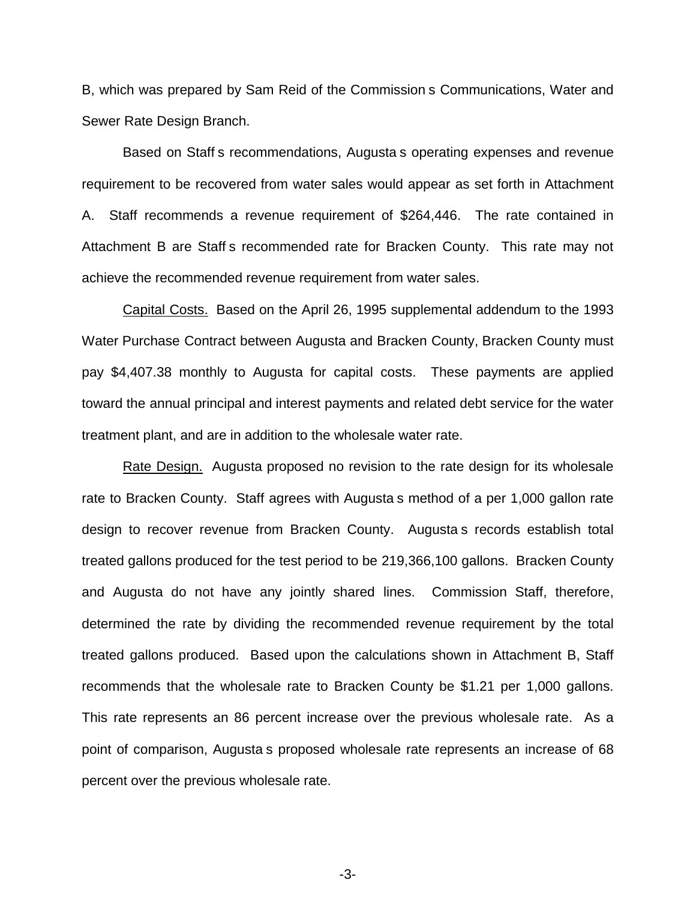B, which was prepared by Sam Reid of the Commission s Communications, Water and Sewer Rate Design Branch.

Based on Staff s recommendations, Augusta s operating expenses and revenue requirement to be recovered from water sales would appear as set forth in Attachment A. Staff recommends a revenue requirement of \$264,446. The rate contained in Attachment B are Staff s recommended rate for Bracken County. This rate may not achieve the recommended revenue requirement from water sales.

Capital Costs. Based on the April 26, 1995 supplemental addendum to the 1993 Water Purchase Contract between Augusta and Bracken County, Bracken County must pay \$4,407.38 monthly to Augusta for capital costs. These payments are applied toward the annual principal and interest payments and related debt service for the water treatment plant, and are in addition to the wholesale water rate.

Rate Design. Augusta proposed no revision to the rate design for its wholesale rate to Bracken County. Staff agrees with Augusta s method of a per 1,000 gallon rate design to recover revenue from Bracken County. Augusta s records establish total treated gallons produced for the test period to be 219,366,100 gallons. Bracken County and Augusta do not have any jointly shared lines. Commission Staff, therefore, determined the rate by dividing the recommended revenue requirement by the total treated gallons produced. Based upon the calculations shown in Attachment B, Staff recommends that the wholesale rate to Bracken County be \$1.21 per 1,000 gallons. This rate represents an 86 percent increase over the previous wholesale rate. As a point of comparison, Augusta s proposed wholesale rate represents an increase of 68 percent over the previous wholesale rate.

-3-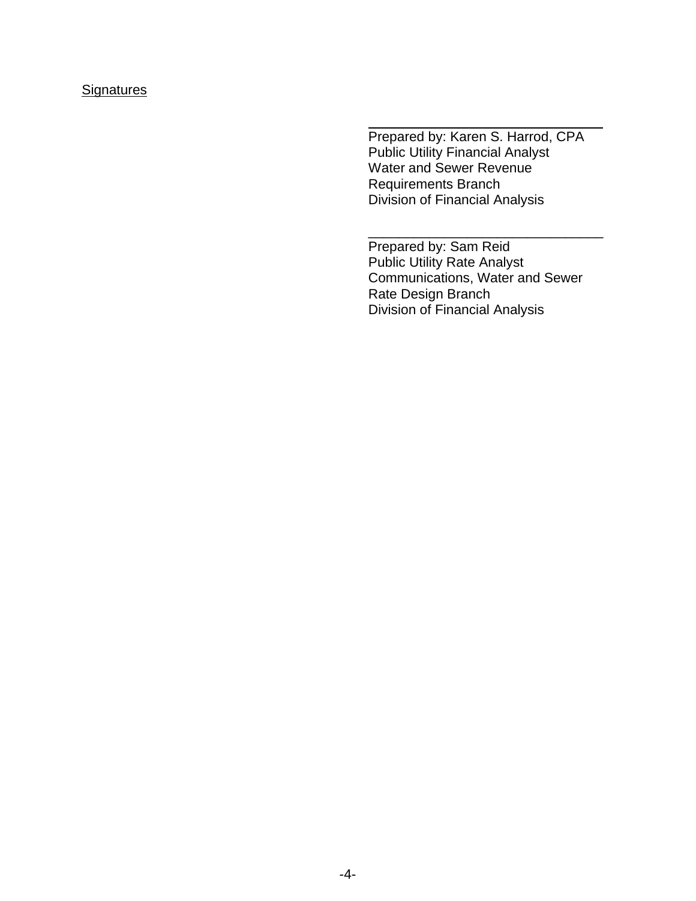## **Signatures**

Prepared by: Karen S. Harrod, CPA Public Utility Financial Analyst Water and Sewer Revenue Requirements Branch Division of Financial Analysis

Prepared by: Sam Reid Public Utility Rate Analyst Communications, Water and Sewer Rate Design Branch Division of Financial Analysis

\_\_\_\_\_\_\_\_\_\_\_\_\_\_\_\_\_\_\_\_\_\_\_\_\_\_\_\_\_\_\_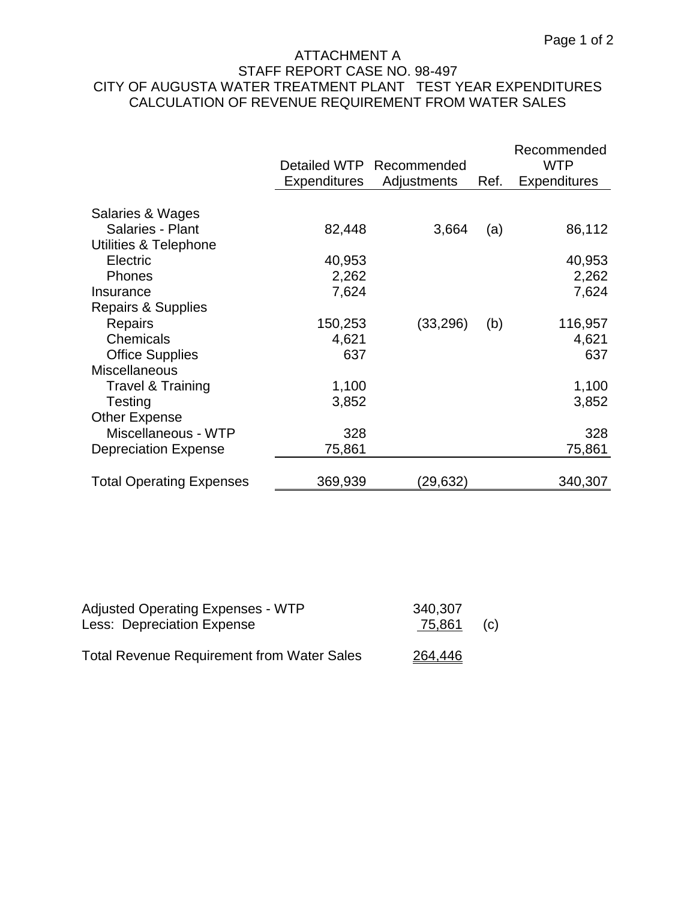## ATTACHMENT A STAFF REPORT CASE NO. 98-497 CITY OF AUGUSTA WATER TREATMENT PLANT TEST YEAR EXPENDITURES CALCULATION OF REVENUE REQUIREMENT FROM WATER SALES

|                                 |                     | Detailed WTP Recommended |      | Recommended<br><b>WTP</b> |
|---------------------------------|---------------------|--------------------------|------|---------------------------|
|                                 | <b>Expenditures</b> | Adjustments              | Ref. | <b>Expenditures</b>       |
|                                 |                     |                          |      |                           |
| Salaries & Wages                |                     |                          |      |                           |
| Salaries - Plant                | 82,448              | 3,664                    | (a)  | 86,112                    |
| Utilities & Telephone           |                     |                          |      |                           |
| Electric                        | 40,953              |                          |      | 40,953                    |
| <b>Phones</b>                   | 2,262               |                          |      | 2,262                     |
| Insurance                       | 7,624               |                          |      | 7,624                     |
| Repairs & Supplies              |                     |                          |      |                           |
| Repairs                         | 150,253             | (33, 296)                | (b)  | 116,957                   |
| Chemicals                       | 4,621               |                          |      | 4,621                     |
| <b>Office Supplies</b>          | 637                 |                          |      | 637                       |
| <b>Miscellaneous</b>            |                     |                          |      |                           |
| Travel & Training               | 1,100               |                          |      | 1,100                     |
| Testing                         | 3,852               |                          |      | 3,852                     |
| <b>Other Expense</b>            |                     |                          |      |                           |
| Miscellaneous - WTP             | 328                 |                          |      | 328                       |
| <b>Depreciation Expense</b>     | 75,861              |                          |      | 75,861                    |
|                                 |                     |                          |      |                           |
| <b>Total Operating Expenses</b> | 369,939             | (29, 632)                |      | 340,307                   |

| <b>Adjusted Operating Expenses - WTP</b>          | 340,307 |     |
|---------------------------------------------------|---------|-----|
| Less: Depreciation Expense                        | 75,861  | (c) |
| <b>Total Revenue Requirement from Water Sales</b> | 264,446 |     |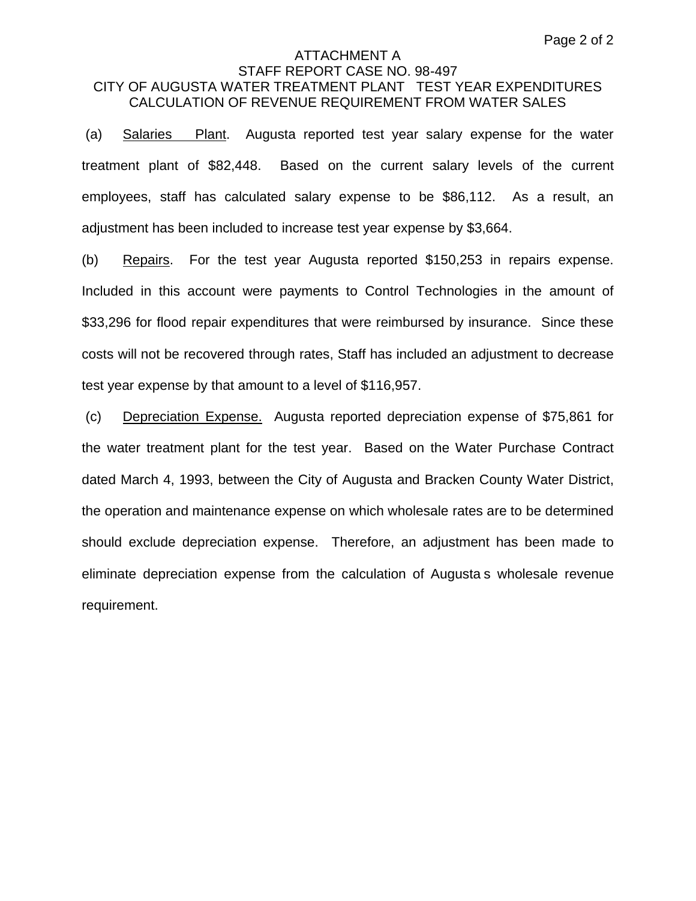### ATTACHMENT A STAFF REPORT CASE NO. 98-497 CITY OF AUGUSTA WATER TREATMENT PLANT TEST YEAR EXPENDITURES CALCULATION OF REVENUE REQUIREMENT FROM WATER SALES

(a) Salaries Plant. Augusta reported test year salary expense for the water treatment plant of \$82,448. Based on the current salary levels of the current employees, staff has calculated salary expense to be \$86,112. As a result, an adjustment has been included to increase test year expense by \$3,664.

(b) Repairs. For the test year Augusta reported \$150,253 in repairs expense. Included in this account were payments to Control Technologies in the amount of \$33,296 for flood repair expenditures that were reimbursed by insurance. Since these costs will not be recovered through rates, Staff has included an adjustment to decrease test year expense by that amount to a level of \$116,957.

(c) Depreciation Expense. Augusta reported depreciation expense of \$75,861 for the water treatment plant for the test year. Based on the Water Purchase Contract dated March 4, 1993, between the City of Augusta and Bracken County Water District, the operation and maintenance expense on which wholesale rates are to be determined should exclude depreciation expense. Therefore, an adjustment has been made to eliminate depreciation expense from the calculation of Augusta s wholesale revenue requirement.